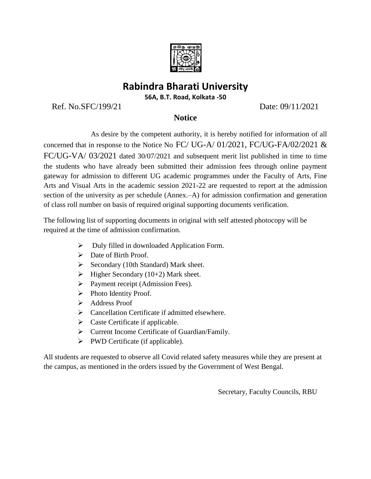

## **Rabindra Bharati University**

**56A, B.T. Road, Kolkata -50**

Ref. No.SFC/199/21 Date: 09/11/2021

## **Notice**

 As desire by the competent authority, it is hereby notified for information of all concerned that in response to the Notice No FC/ UG-A/ 01/2021, FC/UG-FA/02/2021 & FC/UG-VA/ 03/2021 dated 30/07/2021 and subsequent merit list published in time to time the students who have already been submitted their admission fees through online payment gateway for admission to different UG academic programmes under the Faculty of Arts, Fine Arts and Visual Arts in the academic session 2021-22 are requested to report at the admission section of the university as per schedule (Annex.–A) for admission confirmation and generation of class roll number on basis of required original supporting documents verification.

The following list of supporting documents in original with self attested photocopy will be required at the time of admission confirmation.

- $\triangleright$  Duly filled in downloaded Application Form.
- > Date of Birth Proof.
- $\triangleright$  Secondary (10th Standard) Mark sheet.
- $\triangleright$  Higher Secondary (10+2) Mark sheet.
- $\triangleright$  Payment receipt (Admission Fees).
- $\triangleright$  Photo Identity Proof.
- $\blacktriangleright$  Address Proof
- $\triangleright$  Cancellation Certificate if admitted elsewhere.
- $\triangleright$  Caste Certificate if applicable.
- Current Income Certificate of Guardian/Family.
- $\triangleright$  PWD Certificate (if applicable).

All students are requested to observe all Covid related safety measures while they are present at the campus, as mentioned in the orders issued by the Government of West Bengal.

Secretary, Faculty Councils, RBU